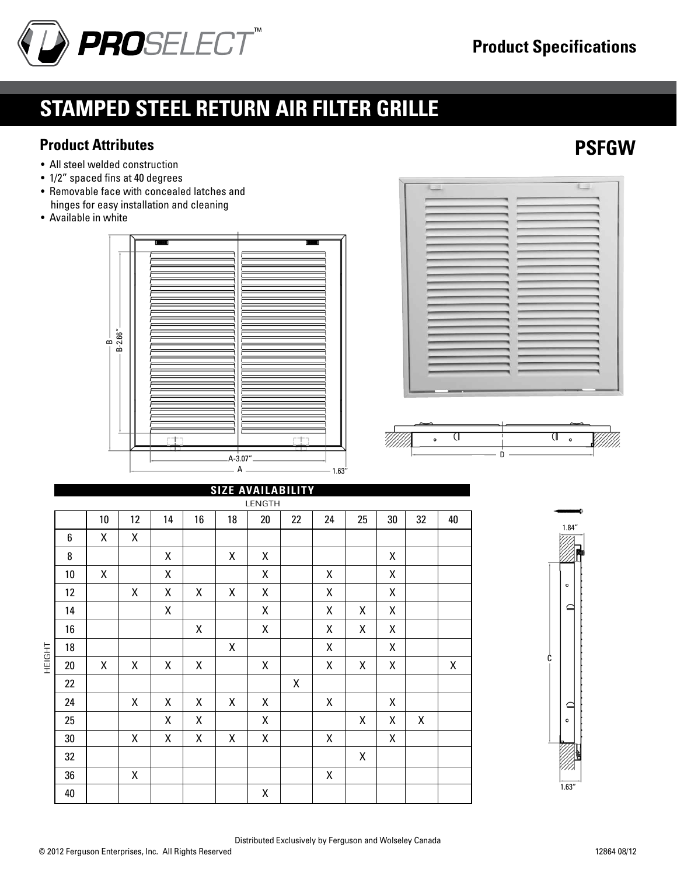

• Removable face with concealed latches and hinges for easy installation and cleaning

# **stamped steel return air filter grille**

#### **Product Attributes PSFGW**

• Available in white

• All steel welded construction • 1/2" spaced fins at 40 degrees

A A-3.07"  $1.63'$  $\dot{\mathbf{r}}$ B-2.66"



|        |    |    |                    |    |    | <b>SIZE AVAILABILITY</b> |        |    |                    |    |        |             |    |
|--------|----|----|--------------------|----|----|--------------------------|--------|----|--------------------|----|--------|-------------|----|
|        |    |    |                    |    |    |                          | LENGTH |    |                    |    |        |             |    |
| HEIGHT |    | 10 | 12                 | 14 | 16 | 18                       | $20\,$ | 22 | 24                 | 25 | $30\,$ | 32          | 40 |
|        | 6  | X  | Χ                  |    |    |                          |        |    |                    |    |        |             |    |
|        | 8  |    |                    | Χ  |    | χ                        | Χ      |    |                    |    | Χ      |             |    |
|        | 10 | Χ  |                    | Χ  |    |                          | Χ      |    | Χ                  |    | Χ      |             |    |
|        | 12 |    | Χ                  | Χ  | X  | X                        | Χ      |    | Χ                  |    | Χ      |             |    |
|        | 14 |    |                    | Χ  |    |                          | Χ      |    | Χ                  | Χ  | Χ      |             |    |
|        | 16 |    |                    |    | X  |                          | X      |    | $\mathsf{X}$       | X  | Χ      |             |    |
|        | 18 |    |                    |    |    | χ                        |        |    | Χ                  |    | X      |             |    |
|        | 20 | X  | X                  | Χ  | X  |                          | Χ      |    | Χ                  | X  | χ      |             | Χ  |
|        | 22 |    |                    |    |    |                          |        | Χ  |                    |    |        |             |    |
|        | 24 |    | $\pmb{\mathsf{X}}$ | Χ  | Χ  | χ                        | Χ      |    | Χ                  |    | Χ      |             |    |
|        | 25 |    |                    | Χ  | Χ  |                          | Χ      |    |                    | Χ  | Χ      | $\mathsf X$ |    |
|        | 30 |    | Χ                  | Χ  | Χ  | χ                        | Χ      |    | Χ                  |    | Χ      |             |    |
|        | 32 |    |                    |    |    |                          |        |    |                    | Χ  |        |             |    |
|        | 36 |    | $\pmb{\mathsf{X}}$ |    |    |                          |        |    | $\pmb{\mathsf{X}}$ |    |        |             |    |
|        | 40 |    |                    |    |    |                          | Χ      |    |                    |    |        |             |    |



Distributed Exclusively by Ferguson and Wolseley Canada